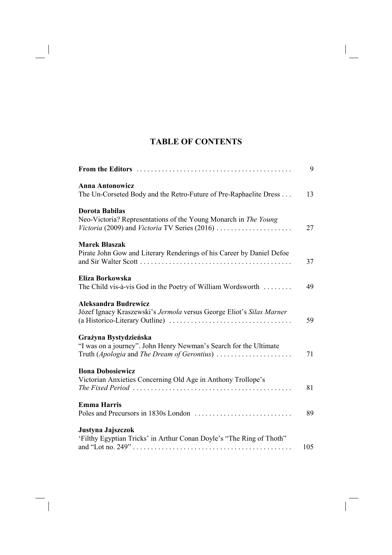## **TABLE OF CONTENTS**

|                                                                                                               | 9   |
|---------------------------------------------------------------------------------------------------------------|-----|
| <b>Anna Antonowicz</b>                                                                                        |     |
| The Un-Corseted Body and the Retro-Future of Pre-Raphaelite Dress                                             | 13  |
| <b>Dorota Babilas</b>                                                                                         |     |
| Neo-Victoria? Representations of the Young Monarch in The Young                                               |     |
|                                                                                                               | 27  |
| <b>Marek Blaszak</b>                                                                                          |     |
| Pirate John Gow and Literary Renderings of his Career by Daniel Defoe                                         |     |
|                                                                                                               | 37  |
| Eliza Borkowska                                                                                               |     |
| The Child vis-à-vis God in the Poetry of William Wordsworth                                                   | 49  |
| <b>Aleksandra Budrewicz</b>                                                                                   |     |
| Józef Ignacy Kraszewski's Jermola versus George Eliot's Silas Marner                                          |     |
|                                                                                                               | 59  |
| Grażyna Bystydzieńska                                                                                         |     |
| "I was on a journey". John Henry Newman's Search for the Ultimate                                             |     |
| Truth (Apologia and The Dream of Gerontius)                                                                   | 71  |
| <b>Ilona Dobosiewicz</b>                                                                                      |     |
| Victorian Anxieties Concerning Old Age in Anthony Trollope's                                                  |     |
| The Fixed Period $\ldots \ldots \ldots \ldots \ldots \ldots \ldots \ldots \ldots \ldots \ldots \ldots \ldots$ | 81  |
| <b>Emma Harris</b>                                                                                            |     |
|                                                                                                               | 89  |
| Justyna Jajszczok                                                                                             |     |
| 'Filthy Egyptian Tricks' in Arthur Conan Doyle's "The Ring of Thoth"                                          |     |
|                                                                                                               | 105 |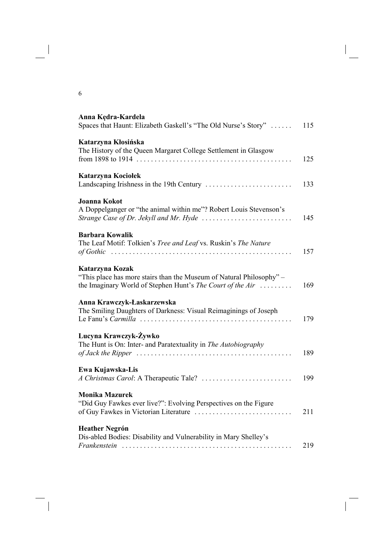| Voduo Voudolo |  |
|---------------|--|

| Anna Kędra-Kardela<br>Spaces that Haunt: Elizabeth Gaskell's "The Old Nurse's Story"                                                                                                                       | 115 |
|------------------------------------------------------------------------------------------------------------------------------------------------------------------------------------------------------------|-----|
| Katarzyna Kłosińska<br>The History of the Queen Margaret College Settlement in Glasgow                                                                                                                     | 125 |
| Katarzyna Kociołek                                                                                                                                                                                         | 133 |
| <b>Joanna Kokot</b><br>A Doppelganger or "the animal within me"? Robert Louis Stevenson's<br>Strange Case of Dr. Jekyll and Mr. Hyde $\ldots \ldots \ldots \ldots \ldots \ldots \ldots$                    | 145 |
| <b>Barbara Kowalik</b><br>The Leaf Motif: Tolkien's Tree and Leaf vs. Ruskin's The Nature                                                                                                                  | 157 |
| Katarzyna Kozak<br>"This place has more stairs than the Museum of Natural Philosophy" –<br>the Imaginary World of Stephen Hunt's The Court of the Air                                                      | 169 |
| Anna Krawczyk-Łaskarzewska<br>The Smiling Daughters of Darkness: Visual Reimaginings of Joseph                                                                                                             | 179 |
| Lucyna Krawczyk-Żywko<br>The Hunt is On: Inter- and Paratextuality in The Autobiography<br>of Jack the Ripper $\ldots \ldots \ldots \ldots \ldots \ldots \ldots \ldots \ldots \ldots \ldots \ldots \ldots$ | 189 |
| Ewa Kujawska-Lis                                                                                                                                                                                           | 199 |
| <b>Monika Mazurek</b><br>"Did Guy Fawkes ever live?": Evolving Perspectives on the Figure<br>of Guy Fawkes in Victorian Literature                                                                         | 211 |
| <b>Heather Negrón</b><br>Dis-abled Bodies: Disability and Vulnerability in Mary Shelley's                                                                                                                  | 219 |